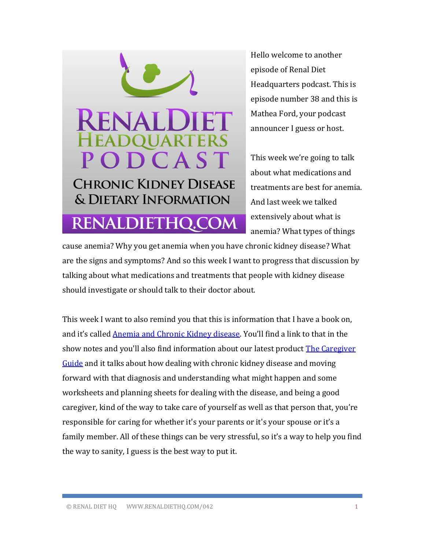

Hello welcome to another episode of Renal Diet Headquarters podcast. This is episode number 38 and this is Mathea Ford, your podcast announcer I guess or host.

This week we're going to talk about what medications and treatments are best for anemia. And last week we talked extensively about what is anemia? What types of things

cause anemia? Why you get anemia when you have chronic kidney disease? What are the signs and symptoms? And so this week I want to progress that discussion by talking about what medications and treatments that people with kidney disease should investigate or should talk to their doctor about.

This week I want to also remind you that this is information that I have a book on, and it's called [Anemia and Chronic Kidney disease](http://www.amazon.com/Anemia-Chronic-Kidney-Disease-Treatment/dp/0692201416/ref=sr_1_1?ie=UTF8&qid=1421013361&sr=8-1&keywords=Anemia+and+Chronic+Kidney+disease). You'll find a link to that in the show notes and you'll also find information about our latest product [The Caregiver](http://www.amazon.com/Headquarters-Disease-Patients-Educational-Worksheets/dp/B00LZ2ICPW/ref=sr_1_1?ie=UTF8&qid=1421013681&sr=8-1&keywords=caregiver+guide+renal)  [Guide](http://www.amazon.com/Headquarters-Disease-Patients-Educational-Worksheets/dp/B00LZ2ICPW/ref=sr_1_1?ie=UTF8&qid=1421013681&sr=8-1&keywords=caregiver+guide+renal) and it talks about how dealing with chronic kidney disease and moving forward with that diagnosis and understanding what might happen and some worksheets and planning sheets for dealing with the disease, and being a good caregiver, kind of the way to take care of yourself as well as that person that, you're responsible for caring for whether it's your parents or it's your spouse or it's a family member. All of these things can be very stressful, so it's a way to help you find the way to sanity, I guess is the best way to put it.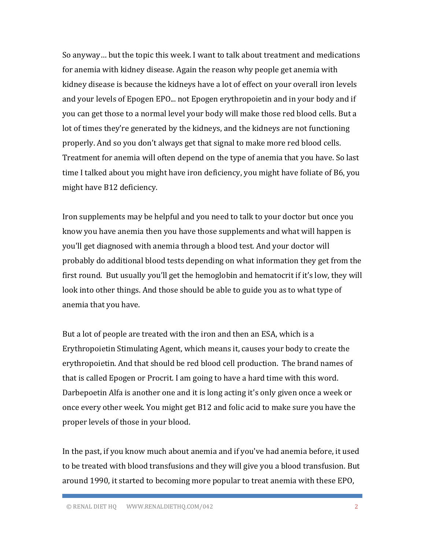So anyway… but the topic this week. I want to talk about treatment and medications for anemia with kidney disease. Again the reason why people get anemia with kidney disease is because the kidneys have a lot of effect on your overall iron levels and your levels of Epogen EPO... not Epogen erythropoietin and in your body and if you can get those to a normal level your body will make those red blood cells. But a lot of times they're generated by the kidneys, and the kidneys are not functioning properly. And so you don't always get that signal to make more red blood cells. Treatment for anemia will often depend on the type of anemia that you have. So last time I talked about you might have iron deficiency, you might have foliate of B6, you might have B12 deficiency.

Iron supplements may be helpful and you need to talk to your doctor but once you know you have anemia then you have those supplements and what will happen is you'll get diagnosed with anemia through a blood test. And your doctor will probably do additional blood tests depending on what information they get from the first round. But usually you'll get the hemoglobin and hematocrit if it's low, they will look into other things. And those should be able to guide you as to what type of anemia that you have.

But a lot of people are treated with the iron and then an ESA, which is a Erythropoietin Stimulating Agent, which means it, causes your body to create the erythropoietin. And that should be red blood cell production. The brand names of that is called Epogen or Procrit. I am going to have a hard time with this word. Darbepoetin Alfa is another one and it is long acting it's only given once a week or once every other week. You might get B12 and folic acid to make sure you have the proper levels of those in your blood.

In the past, if you know much about anemia and if you've had anemia before, it used to be treated with blood transfusions and they will give you a blood transfusion. But around 1990, it started to becoming more popular to treat anemia with these EPO,

© RENAL DIET HQ WWW.RENALDIETHQ.COM/042 2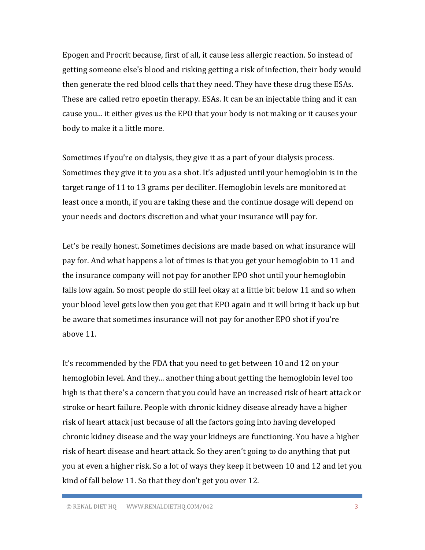Epogen and Procrit because, first of all, it cause less allergic reaction. So instead of getting someone else's blood and risking getting a risk of infection, their body would then generate the red blood cells that they need. They have these drug these ESAs. These are called retro epoetin therapy. ESAs. It can be an injectable thing and it can cause you... it either gives us the EPO that your body is not making or it causes your body to make it a little more.

Sometimes if you're on dialysis, they give it as a part of your dialysis process. Sometimes they give it to you as a shot. It's adjusted until your hemoglobin is in the target range of 11 to 13 grams per deciliter. Hemoglobin levels are monitored at least once a month, if you are taking these and the continue dosage will depend on your needs and doctors discretion and what your insurance will pay for.

Let's be really honest. Sometimes decisions are made based on what insurance will pay for. And what happens a lot of times is that you get your hemoglobin to 11 and the insurance company will not pay for another EPO shot until your hemoglobin falls low again. So most people do still feel okay at a little bit below 11 and so when your blood level gets low then you get that EPO again and it will bring it back up but be aware that sometimes insurance will not pay for another EPO shot if you're above 11.

It's recommended by the FDA that you need to get between 10 and 12 on your hemoglobin level. And they... another thing about getting the hemoglobin level too high is that there's a concern that you could have an increased risk of heart attack or stroke or heart failure. People with chronic kidney disease already have a higher risk of heart attack just because of all the factors going into having developed chronic kidney disease and the way your kidneys are functioning. You have a higher risk of heart disease and heart attack. So they aren't going to do anything that put you at even a higher risk. So a lot of ways they keep it between 10 and 12 and let you kind of fall below 11. So that they don't get you over 12.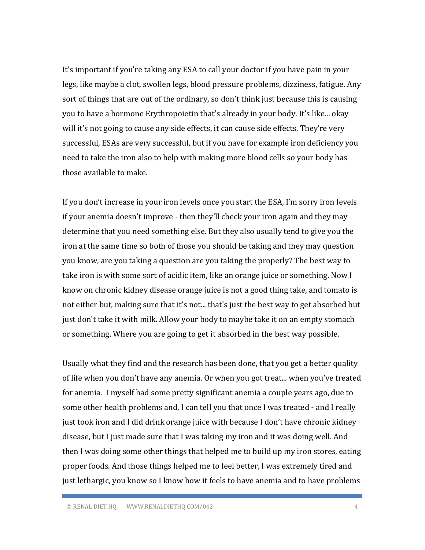It's important if you're taking any ESA to call your doctor if you have pain in your legs, like maybe a clot, swollen legs, blood pressure problems, dizziness, fatigue. Any sort of things that are out of the ordinary, so don't think just because this is causing you to have a hormone Erythropoietin that's already in your body. It's like... okay will it's not going to cause any side effects, it can cause side effects. They're very successful, ESAs are very successful, but if you have for example iron deficiency you need to take the iron also to help with making more blood cells so your body has those available to make.

If you don't increase in your iron levels once you start the ESA, I'm sorry iron levels if your anemia doesn't improve - then they'll check your iron again and they may determine that you need something else. But they also usually tend to give you the iron at the same time so both of those you should be taking and they may question you know, are you taking a question are you taking the properly? The best way to take iron is with some sort of acidic item, like an orange juice or something. Now I know on chronic kidney disease orange juice is not a good thing take, and tomato is not either but, making sure that it's not... that's just the best way to get absorbed but just don't take it with milk. Allow your body to maybe take it on an empty stomach or something. Where you are going to get it absorbed in the best way possible.

Usually what they find and the research has been done, that you get a better quality of life when you don't have any anemia. Or when you got treat... when you've treated for anemia. I myself had some pretty significant anemia a couple years ago, due to some other health problems and, I can tell you that once I was treated - and I really just took iron and I did drink orange juice with because I don't have chronic kidney disease, but I just made sure that I was taking my iron and it was doing well. And then I was doing some other things that helped me to build up my iron stores, eating proper foods. And those things helped me to feel better, I was extremely tired and just lethargic, you know so I know how it feels to have anemia and to have problems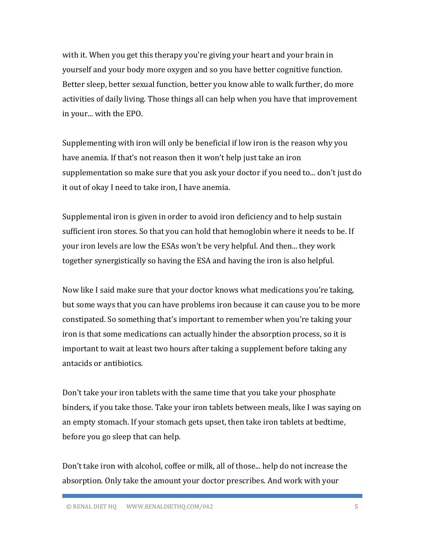with it. When you get this therapy you're giving your heart and your brain in yourself and your body more oxygen and so you have better cognitive function. Better sleep, better sexual function, better you know able to walk further, do more activities of daily living. Those things all can help when you have that improvement in your... with the EPO.

Supplementing with iron will only be beneficial if low iron is the reason why you have anemia. If that's not reason then it won't help just take an iron supplementation so make sure that you ask your doctor if you need to... don't just do it out of okay I need to take iron, I have anemia.

Supplemental iron is given in order to avoid iron deficiency and to help sustain sufficient iron stores. So that you can hold that hemoglobin where it needs to be. If your iron levels are low the ESAs won't be very helpful. And then... they work together synergistically so having the ESA and having the iron is also helpful.

Now like I said make sure that your doctor knows what medications you're taking, but some ways that you can have problems iron because it can cause you to be more constipated. So something that's important to remember when you're taking your iron is that some medications can actually hinder the absorption process, so it is important to wait at least two hours after taking a supplement before taking any antacids or antibiotics.

Don't take your iron tablets with the same time that you take your phosphate binders, if you take those. Take your iron tablets between meals, like I was saying on an empty stomach. If your stomach gets upset, then take iron tablets at bedtime, before you go sleep that can help.

Don't take iron with alcohol, coffee or milk, all of those... help do not increase the absorption. Only take the amount your doctor prescribes. And work with your

© RENAL DIET HQ WWW.RENALDIETHQ.COM/042 5